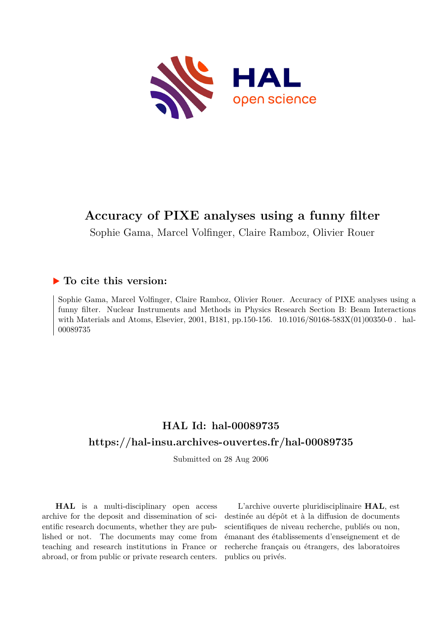

# **Accuracy of PIXE analyses using a funny filter**

Sophie Gama, Marcel Volfinger, Claire Ramboz, Olivier Rouer

#### **To cite this version:**

Sophie Gama, Marcel Volfinger, Claire Ramboz, Olivier Rouer. Accuracy of PIXE analyses using a funny filter. Nuclear Instruments and Methods in Physics Research Section B: Beam Interactions with Materials and Atoms, Elsevier, 2001, B181, pp.150-156.  $10.1016/S0168-583X(01)00350-0$ . hal-00089735ff

### **HAL Id: hal-00089735 <https://hal-insu.archives-ouvertes.fr/hal-00089735>**

Submitted on 28 Aug 2006

**HAL** is a multi-disciplinary open access archive for the deposit and dissemination of scientific research documents, whether they are published or not. The documents may come from teaching and research institutions in France or abroad, or from public or private research centers.

L'archive ouverte pluridisciplinaire **HAL**, est destinée au dépôt et à la diffusion de documents scientifiques de niveau recherche, publiés ou non, émanant des établissements d'enseignement et de recherche français ou étrangers, des laboratoires publics ou privés.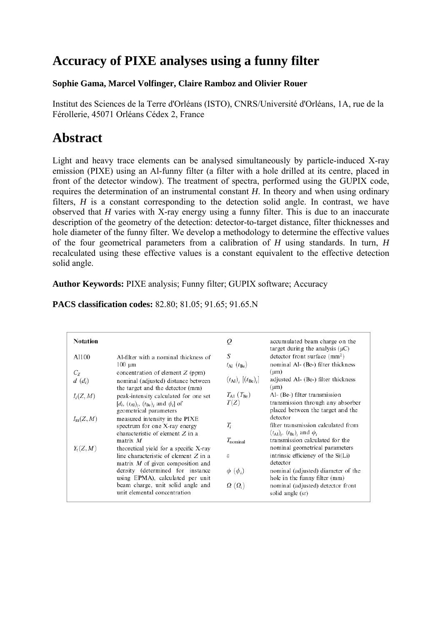# **Accuracy of PIXE analyses using a funny filter**

#### **Sophie Gama, Marcel Volfinger, Claire Ramboz and Olivier Rouer**

Institut des Sciences de la Terre d'Orléans (ISTO), CNRS/Université d'Orléans, 1A, rue de la Férollerie, 45071 Orléans Cédex 2, France

# **Abstract**

Light and heavy trace elements can be analysed simultaneously by particle-induced X-ray emission (PIXE) using an Al-funny filter (a filter with a hole drilled at its centre, placed in front of the detector window). The treatment of spectra, performed using the GUPIX code, requires the determination of an instrumental constant *H*. In theory and when using ordinary filters, *H* is a constant corresponding to the detection solid angle. In contrast, we have observed that *H* varies with X-ray energy using a funny filter. This is due to an inaccurate description of the geometry of the detection: detector-to-target distance, filter thicknesses and hole diameter of the funny filter. We develop a methodology to determine the effective values of the four geometrical parameters from a calibration of *H* using standards. In turn, *H* recalculated using these effective values is a constant equivalent to the effective detection solid angle.

**Author Keywords:** PIXE analysis; Funny filter; GUPIX software; Accuracy

| <b>Notation</b>     |                                                                                                                                        | Q                                               | accumulated beam charge on the<br>target during the analysis $(\mu C)$                                              |
|---------------------|----------------------------------------------------------------------------------------------------------------------------------------|-------------------------------------------------|---------------------------------------------------------------------------------------------------------------------|
| A1100               | Al-filter with a nominal thickness of<br>$100 \mu m$                                                                                   | S<br>$t_{\text{Al}}(t_{\text{Be}})$             | detector front surface $\text{mm}^2$ )<br>nominal Al- (Be-) filter thickness                                        |
| $C_{Z}$<br>$d(d_i)$ | concentration of element $Z$ (ppm)<br>nominal (adjusted) distance between<br>the target and the detector (mm)                          | $(t_{\rm Al})$ , $[(t_{\rm Be})$ <sub>i</sub> ] | $(\mu m)$<br>adjusted Al- (Be-) filter thickness<br>$(\mu m)$                                                       |
| $I_i(Z,M)$          | peak-intensity calculated for one set<br>$[d_i, (t_{\rm Al})_i, (t_{\rm Be})_i$ and $\phi_i$ of<br>geometrical parameters              | $T_{\rm Al}$ ( $T_{\rm Be}$ )<br>T(Z)           | Al- (Be-) filter transmission<br>transmission through any absorber<br>placed between the target and the             |
| $I_m(Z,M)$          | measured intensity in the PIXE<br>spectrum for one X-ray energy<br>characteristic of element $Z$ in a                                  | $T_i$                                           | detector<br>filter transmission calculated from<br>$(t_{\text{Al}})_i$ , $(t_{\text{Be}})_i$ and $\phi_i$           |
| $Y_{t}(Z,M)$        | matrix $M$<br>theoretical yield for a specific X-ray<br>line characteristic of element $Z$ in a<br>matrix $M$ of given composition and | $T_{nominal}$<br>ε                              | transmission calculated for the<br>nominal geometrical parameters<br>intrinsic efficiency of the Si(Li)<br>detector |
|                     | density (determined for instance<br>using EPMA), calculated per unit                                                                   | $\phi$ $(\phi_i)$                               | nominal (adjusted) diameter of the<br>hole in the funny filter (mm)                                                 |
|                     | beam charge, unit solid angle and<br>unit elemental concentration                                                                      | $\Omega$ $(\Omega_i)$                           | nominal (adjusted) detector front<br>solid angle (sr)                                                               |

**PACS classification codes:** 82.80; 81.05; 91.65; 91.65.N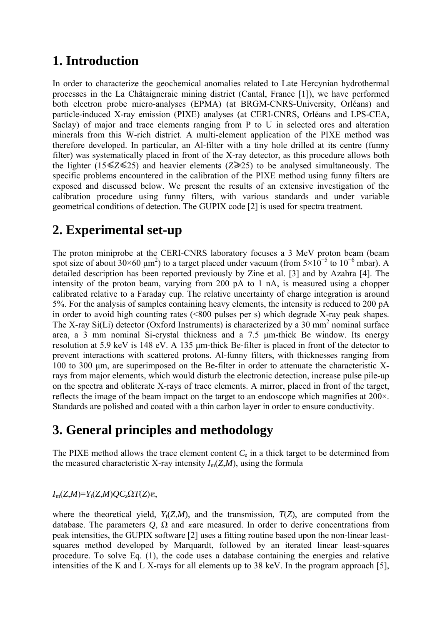### **1. Introduction**

In order to characterize the geochemical anomalies related to Late Hercynian hydrothermal processes in the La Châtaigneraie mining district (Cantal, France [1]), we have performed both electron probe micro-analyses (EPMA) (at BRGM-CNRS-University, Orléans) and particle-induced X-ray emission (PIXE) analyses (at CERI-CNRS, Orléans and LPS-CEA, Saclay) of major and trace elements ranging from P to U in selected ores and alteration minerals from this W-rich district. A multi-element application of the PIXE method was therefore developed. In particular, an Al-filter with a tiny hole drilled at its centre (funny filter) was systematically placed in front of the X-ray detector, as this procedure allows both the lighter (15  $\leq$  *Z*  $\leq$  25) and heavier elements (*Z*  $\geq$  25) to be analysed simultaneously. The specific problems encountered in the calibration of the PIXE method using funny filters are exposed and discussed below. We present the results of an extensive investigation of the calibration procedure using funny filters, with various standards and under variable geometrical conditions of detection. The GUPIX code [2] is used for spectra treatment.

# **2. Experimental set-up**

The proton miniprobe at the CERI-CNRS laboratory focuses a 3 MeV proton beam (beam spot size of about 30×60  $\mu$ m<sup>2</sup>) to a target placed under vacuum (from 5×10<sup>-5</sup> to 10<sup>-6</sup> mbar). A detailed description has been reported previously by Zine et al. [3] and by Azahra [4]. The intensity of the proton beam, varying from 200 pA to 1 nA, is measured using a chopper calibrated relative to a Faraday cup. The relative uncertainty of charge integration is around 5%. For the analysis of samples containing heavy elements, the intensity is reduced to 200 pA in order to avoid high counting rates (<800 pulses per s) which degrade X-ray peak shapes. The X-ray  $Si(Li)$  detector (Oxford Instruments) is characterized by a 30 mm<sup>2</sup> nominal surface area, a 3 mm nominal Si-crystal thickness and a 7.5 μm-thick Be window. Its energy resolution at 5.9 keV is 148 eV. A 135 μm-thick Be-filter is placed in front of the detector to prevent interactions with scattered protons. Al-funny filters, with thicknesses ranging from 100 to 300 μm, are superimposed on the Be-filter in order to attenuate the characteristic Xrays from major elements, which would disturb the electronic detection, increase pulse pile-up on the spectra and obliterate X-rays of trace elements. A mirror, placed in front of the target, reflects the image of the beam impact on the target to an endoscope which magnifies at 200×. Standards are polished and coated with a thin carbon layer in order to ensure conductivity.

# **3. General principles and methodology**

The PIXE method allows the trace element content  $C_z$  in a thick target to be determined from the measured characteristic X-ray intensity  $I_m(Z,M)$ , using the formula

#### $I_m(Z,M)=Y_t(Z,M)QC<sub>z</sub>$  $\Omega T(Z)$   $\varepsilon$ ,

where the theoretical yield,  $Y_t(Z,M)$ , and the transmission,  $T(Z)$ , are computed from the database. The parameters  $Q$ ,  $\Omega$  and vare measured. In order to derive concentrations from peak intensities, the GUPIX software [2] uses a fitting routine based upon the non-linear leastsquares method developed by Marquardt, followed by an iterated linear least-squares procedure. To solve Eq. (1), the code uses a database containing the energies and relative intensities of the K and L X-rays for all elements up to 38 keV. In the program approach [5],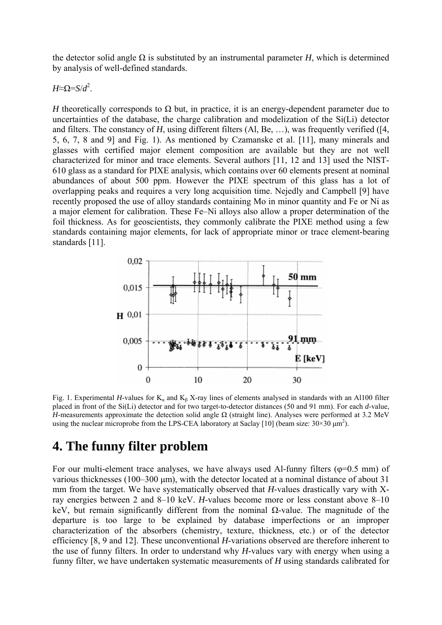the detector solid angle  $\Omega$  is substituted by an instrumental parameter *H*, which is determined by analysis of well-defined standards.

*H*≈Ω=*S*/*d*<sup>2</sup>.

*H* theoretically corresponds to  $\Omega$  but, in practice, it is an energy-dependent parameter due to uncertainties of the database, the charge calibration and modelization of the Si(Li) detector and filters. The constancy of *H*, using different filters (Al, Be, …), was frequently verified ([4, 5, 6, 7, 8 and 9] and Fig. 1). As mentioned by Czamanske et al. [11], many minerals and glasses with certified major element composition are available but they are not well characterized for minor and trace elements. Several authors [11, 12 and 13] used the NIST-610 glass as a standard for PIXE analysis, which contains over 60 elements present at nominal abundances of about 500 ppm. However the PIXE spectrum of this glass has a lot of overlapping peaks and requires a very long acquisition time. Nejedly and Campbell [9] have recently proposed the use of alloy standards containing Mo in minor quantity and Fe or Ni as a major element for calibration. These Fe–Ni alloys also allow a proper determination of the foil thickness. As for geoscientists, they commonly calibrate the PIXE method using a few standards containing major elements, for lack of appropriate minor or trace element-bearing standards [11].



Fig. 1. Experimental *H*-values for  $K_a$  and  $K_b$  X-ray lines of elements analysed in standards with an Al100 filter placed in front of the Si(Li) detector and for two target-to-detector distances (50 and 91 mm). For each *d*-value, *H*-measurements approximate the detection solid angle  $\Omega$  (straight line). Analyses were performed at 3.2 MeV using the nuclear microprobe from the LPS-CEA laboratory at Saclay [10] (beam size:  $30\times30 \mu m^2$ ).

#### **4. The funny filter problem**

For our multi-element trace analyses, we have always used Al-funny filters ( $\varphi$ =0.5 mm) of various thicknesses (100–300 μm), with the detector located at a nominal distance of about 31 mm from the target. We have systematically observed that *H*-values drastically vary with Xray energies between 2 and 8–10 keV. *H*-values become more or less constant above 8–10 keV, but remain significantly different from the nominal Ω-value. The magnitude of the departure is too large to be explained by database imperfections or an improper characterization of the absorbers (chemistry, texture, thickness, etc.) or of the detector efficiency [8, 9 and 12]. These unconventional *H*-variations observed are therefore inherent to the use of funny filters. In order to understand why *H*-values vary with energy when using a funny filter, we have undertaken systematic measurements of *H* using standards calibrated for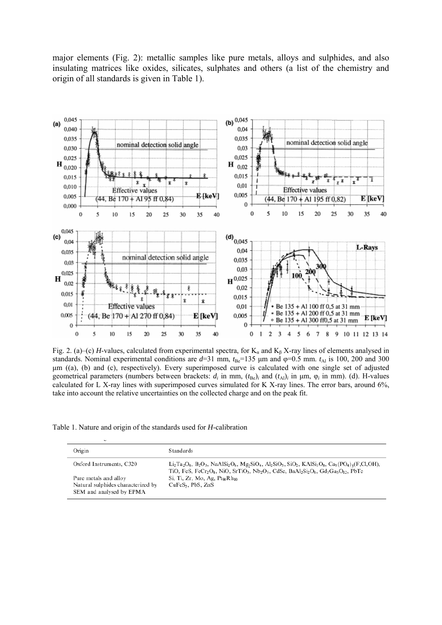major elements (Fig. 2): metallic samples like pure metals, alloys and sulphides, and also insulating matrices like oxides, silicates, sulphates and others (a list of the chemistry and origin of all standards is given in Table 1).



Fig. 2. (a)–(c) *H*-values, calculated from experimental spectra, for K<sub>a</sub> and K<sub>β</sub> X-ray lines of elements analysed in standards. Nominal experimental conditions are  $d=31$  mm,  $t_{Be}=135$  µm and  $\varphi=0.5$  mm.  $t_{Al}$  is 100, 200 and 300 μm ((a), (b) and (c), respectively). Every superimposed curve is calculated with one single set of adjusted geometrical parameters (numbers between brackets:  $d_i$  in mm,  $(t_{\text{Be}})$ *i* and  $(t_{\text{Al}})$ *i* in  $\mu$ m,  $\varphi$ *i* in mm). (d). H-values calculated for L X-ray lines with superimposed curves simulated for K X-ray lines. The error bars, around 6%, take into account the relative uncertainties on the collected charge and on the peak fit.

| Table 1. Nature and origin of the standards used for <i>H</i> -calibration |  |  |  |  |  |  |
|----------------------------------------------------------------------------|--|--|--|--|--|--|
|----------------------------------------------------------------------------|--|--|--|--|--|--|

| Origin                                                                                  | <b>Standards</b>                                                                                                                                                                                                                                                                                                                                                                                                                                                      |
|-----------------------------------------------------------------------------------------|-----------------------------------------------------------------------------------------------------------------------------------------------------------------------------------------------------------------------------------------------------------------------------------------------------------------------------------------------------------------------------------------------------------------------------------------------------------------------|
| Oxford Instruments, C320                                                                | $Li_2Ta_2O_6$ , $B_2O_3$ , NaAlSi <sub>2</sub> O <sub>6</sub> , Mg,SiO <sub>4</sub> , Al <sub>2</sub> SiO <sub>5</sub> , SiO <sub>2</sub> , KAlSi <sub>3</sub> O <sub>8</sub> , Ca <sub>5</sub> (PO <sub>4</sub> ) <sub>3</sub> (F,Cl,OH),<br>TiO, FeS, FeCr <sub>2</sub> O <sub>4</sub> , NiO, SrTiO <sub>3</sub> , Nb <sub>2</sub> O <sub>5</sub> , CdSe, BaAl <sub>2</sub> Si <sub>2</sub> O <sub>8</sub> , Gd <sub>3</sub> Ga <sub>5</sub> O <sub>12</sub> , PbTe |
| Pure metals and alloy<br>Natural sulphides characterized by<br>SEM and analysed by EPMA | Si, Ti, Zr, Mo, Ag, $Pt_{90}Rh_{10}$<br>CuFeS <sub>2</sub> , PbS, ZnS                                                                                                                                                                                                                                                                                                                                                                                                 |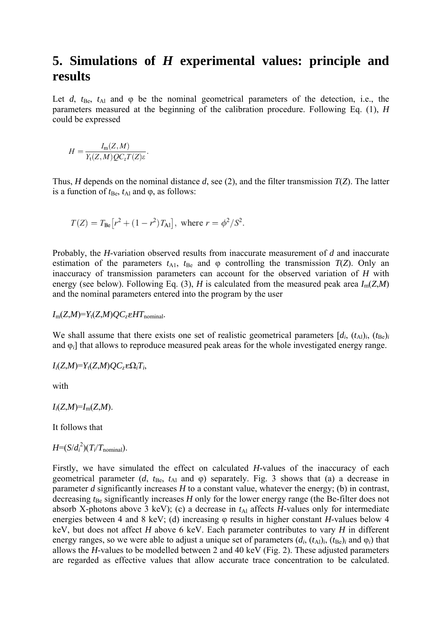## **5. Simulations of** *H* **experimental values: principle and results**

Let *d*,  $t_{\text{Be}}$ ,  $t_{\text{Al}}$  and  $\varphi$  be the nominal geometrical parameters of the detection, i.e., the parameters measured at the beginning of the calibration procedure. Following Eq. (1), *H* could be expressed

$$
H=\frac{I_{\rm m}(Z,M)}{Y_{\rm t}(Z,M)QC_zT(Z)\varepsilon}
$$

Thus, *H* depends on the nominal distance *d*, see (2), and the filter transmission *T*(*Z*). The latter is a function of  $t_{\text{Be}}$ ,  $t_{\text{Al}}$  and  $\varphi$ , as follows:

$$
T(Z) = T_{\text{Be}}[r^2 + (1 - r^2)T_{\text{Al}}]
$$
, where  $r = \phi^2/S^2$ .

Probably, the *H*-variation observed results from inaccurate measurement of *d* and inaccurate estimation of the parameters  $t_{A1}$ ,  $t_{Be}$  and  $\varphi$  controlling the transmission  $T(Z)$ . Only an inaccuracy of transmission parameters can account for the observed variation of *H* with energy (see below). Following Eq. (3), *H* is calculated from the measured peak area  $I_m(Z,M)$ and the nominal parameters entered into the program by the user

 $I_m(Z,M)=Y_t(Z,M)OC$ <sub>z</sub> *HT*<sub>nominal</sub>.

We shall assume that there exists one set of realistic geometrical parameters  $[d_i, (t_{\text{Al}})_i, (t_{\text{Be}})_i]$ and φ*i*] that allows to reproduce measured peak areas for the whole investigated energy range.

$$
I_i(Z,M)=Y_t(Z,M)QC_z\mathbb{E}\Omega_iT_i,
$$

with

 $I_i(Z,M) = I_m(Z,M)$ .

It follows that

 $H=(S/d_i^2)(T_i/T_{\text{nominal}}).$ 

Firstly, we have simulated the effect on calculated *H*-values of the inaccuracy of each geometrical parameter  $(d, t_{\text{Be}}, t_{\text{Al}})$  and  $\varphi$ ) separately. Fig. 3 shows that (a) a decrease in parameter *d* significantly increases *H* to a constant value, whatever the energy; (b) in contrast, decreasing  $t_{\text{Be}}$  significantly increases *H* only for the lower energy range (the Be-filter does not absorb X-photons above 3 keV); (c) a decrease in  $t_{\text{Al}}$  affects *H*-values only for intermediate energies between 4 and 8 keV; (d) increasing φ results in higher constant *H*-values below 4 keV, but does not affect *H* above 6 keV. Each parameter contributes to vary *H* in different energy ranges, so we were able to adjust a unique set of parameters  $(d_i, (t_{A})_i, (t_{Be})_i$  and  $\varphi_i$ ) that allows the *H*-values to be modelled between 2 and 40 keV (Fig. 2). These adjusted parameters are regarded as effective values that allow accurate trace concentration to be calculated.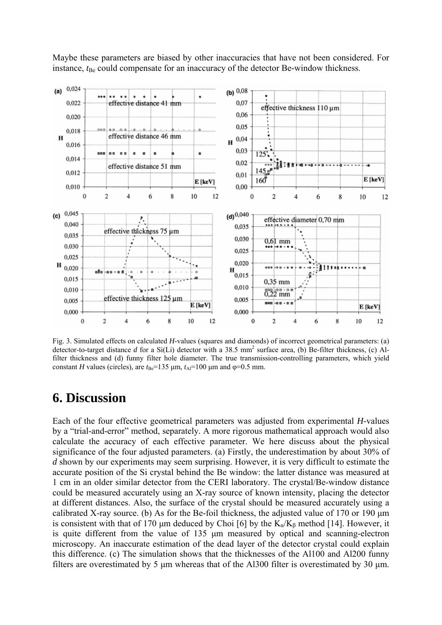Maybe these parameters are biased by other inaccuracies that have not been considered. For instance,  $t_{\text{Be}}$  could compensate for an inaccuracy of the detector Be-window thickness.



Fig. 3. Simulated effects on calculated *H*-values (squares and diamonds) of incorrect geometrical parameters: (a) detector-to-target distance  $d$  for a Si(Li) detector with a 38.5 mm<sup>2</sup> surface area, (b) Be-filter thickness, (c) Alfilter thickness and (d) funny filter hole diameter. The true transmission-controlling parameters, which yield constant *H* values (circles), are  $t_{\text{Be}}$ =135 μm,  $t_{\text{Al}}$ =100 μm and φ=0.5 mm.

#### **6. Discussion**

Each of the four effective geometrical parameters was adjusted from experimental *H*-values by a "trial-and-error" method, separately. A more rigorous mathematical approach would also calculate the accuracy of each effective parameter. We here discuss about the physical significance of the four adjusted parameters. (a) Firstly, the underestimation by about 30% of *d* shown by our experiments may seem surprising. However, it is very difficult to estimate the accurate position of the Si crystal behind the Be window: the latter distance was measured at 1 cm in an older similar detector from the CERI laboratory. The crystal/Be-window distance could be measured accurately using an X-ray source of known intensity, placing the detector at different distances. Also, the surface of the crystal should be measured accurately using a calibrated X-ray source. (b) As for the Be-foil thickness, the adjusted value of 170 or 190 μm is consistent with that of 170 μm deduced by Choi [6] by the  $K_{\alpha}/K_{\beta}$  method [14]. However, it is quite different from the value of 135 μm measured by optical and scanning-electron microscopy. An inaccurate estimation of the dead layer of the detector crystal could explain this difference. (c) The simulation shows that the thicknesses of the Al100 and Al200 funny filters are overestimated by 5 μm whereas that of the Al300 filter is overestimated by 30 μm.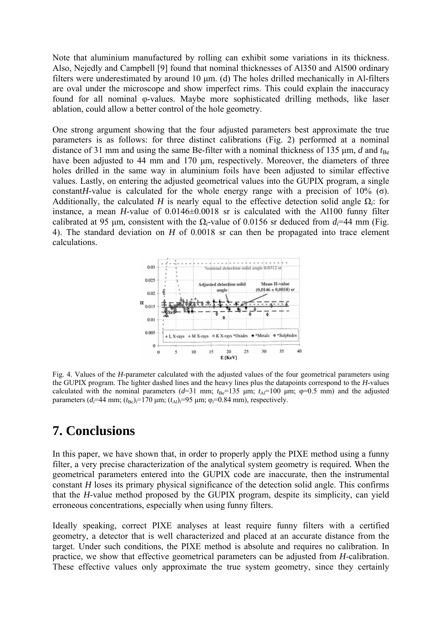Note that aluminium manufactured by rolling can exhibit some variations in its thickness. Also, Nejedly and Campbell [9] found that nominal thicknesses of Al350 and Al500 ordinary filters were underestimated by around 10 μm. (d) The holes drilled mechanically in Al-filters are oval under the microscope and show imperfect rims. This could explain the inaccuracy found for all nominal φ-values. Maybe more sophisticated drilling methods, like laser ablation, could allow a better control of the hole geometry.

One strong argument showing that the four adjusted parameters best approximate the true parameters is as follows: for three distinct calibrations (Fig. 2) performed at a nominal distance of 31 mm and using the same Be-filter with a nominal thickness of 135  $\mu$ m, *d* and  $t_{\text{Be}}$ have been adjusted to 44 mm and 170 um, respectively. Moreover, the diameters of three holes drilled in the same way in aluminium foils have been adjusted to similar effective values. Lastly, on entering the adjusted geometrical values into the GUPIX program, a single constant*H*-value is calculated for the whole energy range with a precision of 10% ( $\sigma$ ). Additionally, the calculated *H* is nearly equal to the effective detection solid angle  $\Omega_i$ : for instance, a mean *H*-value of 0.0146±0.0018 sr is calculated with the Al100 funny filter calibrated at 95 μm, consistent with the  $\Omega_i$ -value of 0.0156 sr deduced from  $d_i=44$  mm (Fig. 4). The standard deviation on *H* of 0.0018 sr can then be propagated into trace element calculations.



Fig. 4. Values of the *H*-parameter calculated with the adjusted values of the four geometrical parameters using the GUPIX program. The lighter dashed lines and the heavy lines plus the datapoints correspond to the *H*-values calculated with the nominal parameters ( $d=31$  mm;  $t_{\text{Be}}=135$  μm;  $t_{\text{Al}}=100$  μm;  $\varphi=0.5$  mm) and the adjusted parameters  $(d_i=44 \text{ mm}; (t_{\text{Be}})_i=170 \text{ }\mu\text{m}; (t_{\text{Al}})_i=95 \text{ }\mu\text{m}; \varphi_i=0.84 \text{ mm})$ , respectively.

# **7. Conclusions**

In this paper, we have shown that, in order to properly apply the PIXE method using a funny filter, a very precise characterization of the analytical system geometry is required. When the geometrical parameters entered into the GUPIX code are inaccurate, then the instrumental constant *H* loses its primary physical significance of the detection solid angle. This confirms that the *H*-value method proposed by the GUPIX program, despite its simplicity, can yield erroneous concentrations, especially when using funny filters.

Ideally speaking, correct PIXE analyses at least require funny filters with a certified geometry, a detector that is well characterized and placed at an accurate distance from the target. Under such conditions, the PIXE method is absolute and requires no calibration. In practice, we show that effective geometrical parameters can be adjusted from *H*-calibration. These effective values only approximate the true system geometry, since they certainly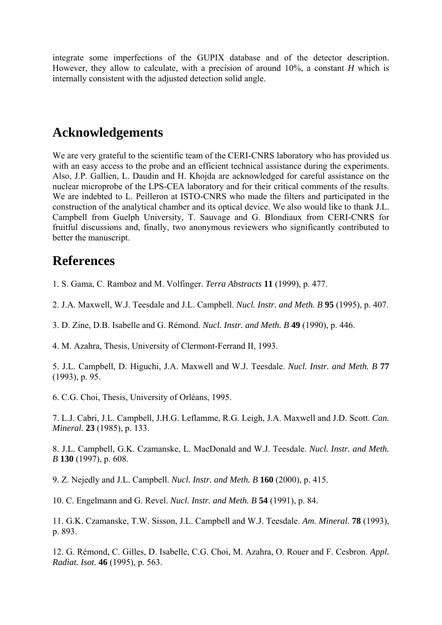integrate some imperfections of the GUPIX database and of the detector description. However, they allow to calculate, with a precision of around 10%, a constant *H* which is internally consistent with the adjusted detection solid angle.

#### **Acknowledgements**

We are very grateful to the scientific team of the CERI-CNRS laboratory who has provided us with an easy access to the probe and an efficient technical assistance during the experiments. Also, J.P. Gallien, L. Daudin and H. Khojda are acknowledged for careful assistance on the nuclear microprobe of the LPS-CEA laboratory and for their critical comments of the results. We are indebted to L. Peilleron at ISTO-CNRS who made the filters and participated in the construction of the analytical chamber and its optical device. We also would like to thank J.L. Campbell from Guelph University, T. Sauvage and G. Blondiaux from CERI-CNRS for fruitful discussions and, finally, two anonymous reviewers who significantly contributed to better the manuscript.

### **References**

1. S. Gama, C. Ramboz and M. Volfinger. *Terra Abstracts* **11** (1999), p. 477.

2. J.A. Maxwell, W.J. Teesdale and J.L. Campbell. *Nucl. Instr. and Meth. B* **95** (1995), p. 407.

3. D. Zine, D.B. Isabelle and G. Rémond. *Nucl. Instr. and Meth. B* **49** (1990), p. 446.

4. M. Azahra, Thesis, University of Clermont-Ferrand II, 1993.

5. J.L. Campbell, D. Higuchi, J.A. Maxwell and W.J. Teesdale. *Nucl. Instr. and Meth. B* **77** (1993), p. 95.

6. C.G. Choi, Thesis, University of Orléans, 1995.

7. L.J. Cabri, J.L. Campbell, J.H.G. Leflamme, R.G. Leigh, J.A. Maxwell and J.D. Scott. *Can. Mineral.* **23** (1985), p. 133.

8. J.L. Campbell, G.K. Czamanske, L. MacDonald and W.J. Teesdale. *Nucl. Instr. and Meth. B* **130** (1997), p. 608.

9. Z. Nejedly and J.L. Campbell. *Nucl. Instr. and Meth. B* **160** (2000), p. 415.

10. C. Engelmann and G. Revel. *Nucl. Instr. and Meth. B* **54** (1991), p. 84.

11. G.K. Czamanske, T.W. Sisson, J.L. Campbell and W.J. Teesdale. *Am. Mineral.* **78** (1993), p. 893.

12. G. Rémond, C. Gilles, D. Isabelle, C.G. Choi, M. Azahra, O. Rouer and F. Cesbron. *Appl. Radiat. Isot.* **46** (1995), p. 563.